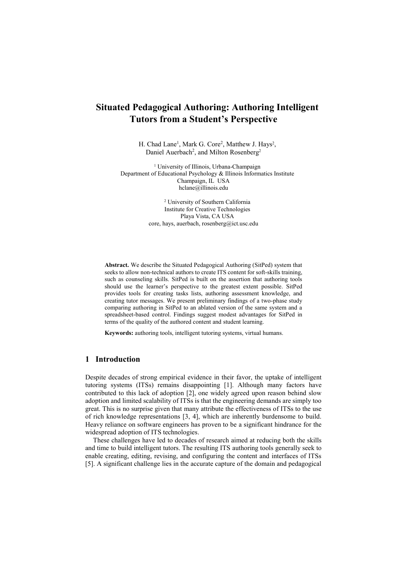# **Situated Pedagogical Authoring: Authoring Intelligent Tutors from a Student's Perspective**

H. Chad Lane<sup>1</sup>, Mark G. Core<sup>2</sup>, Matthew J. Hays<sup>2</sup>, Daniel Auerbach<sup>2</sup>, and Milton Rosenberg<sup>2</sup>

<sup>1</sup> University of Illinois, Urbana-Champaign Department of Educational Psychology & Illinois Informatics Institute Champaign, IL USA hclane@illinois.edu

> <sup>2</sup> University of Southern California Institute for Creative Technologies Playa Vista, CA USA core, hays, auerbach, rosenberg@ict.usc.edu

**Abstract.** We describe the Situated Pedagogical Authoring (SitPed) system that seeks to allow non-technical authors to create ITS content for soft-skills training, such as counseling skills. SitPed is built on the assertion that authoring tools should use the learner's perspective to the greatest extent possible. SitPed provides tools for creating tasks lists, authoring assessment knowledge, and creating tutor messages. We present preliminary findings of a two-phase study comparing authoring in SitPed to an ablated version of the same system and a spreadsheet-based control. Findings suggest modest advantages for SitPed in terms of the quality of the authored content and student learning.

**Keywords:** authoring tools, intelligent tutoring systems, virtual humans.

# **1 Introduction**

Despite decades of strong empirical evidence in their favor, the uptake of intelligent tutoring systems (ITSs) remains disappointing [\[1\]](#page-9-0). Although many factors have contributed to this lack of adoption [\[2\]](#page-9-1), one widely agreed upon reason behind slow adoption and limited scalability of ITSs is that the engineering demands are simply too great. This is no surprise given that many attribute the effectiveness of ITSs to the use of rich knowledge representations [\[3,](#page-9-2) [4\]](#page-9-3), which are inherently burdensome to build. Heavy reliance on software engineers has proven to be a significant hindrance for the widespread adoption of ITS technologies.

These challenges have led to decades of research aimed at reducing both the skills and time to build intelligent tutors. The resulting ITS authoring tools generally seek to enable creating, editing, revising, and configuring the content and interfaces of ITSs [\[5\]](#page-9-4). A significant challenge lies in the accurate capture of the domain and pedagogical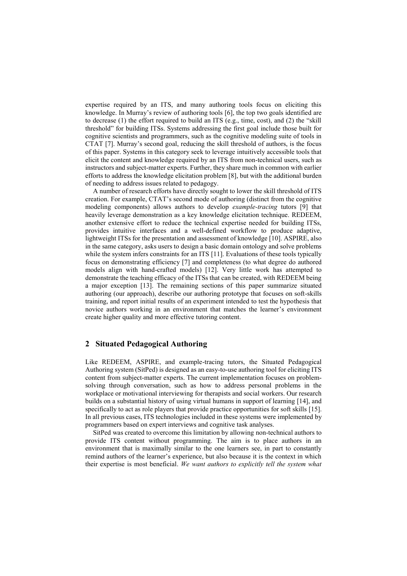expertise required by an ITS, and many authoring tools focus on eliciting this knowledge. In Murray's review of authoring tools [\[6\]](#page-9-5), the top two goals identified are to decrease (1) the effort required to build an ITS (e.g., time, cost), and (2) the "skill threshold" for building ITSs. Systems addressing the first goal include those built for cognitive scientists and programmers, such as the cognitive modeling suite of tools in CTAT [\[7\]](#page-9-6). Murray's second goal, reducing the skill threshold of authors, is the focus of this paper. Systems in this category seek to leverage intuitively accessible tools that elicit the content and knowledge required by an ITS from non-technical users, such as instructors and subject-matter experts. Further, they share much in common with earlier efforts to address the knowledge elicitation problem [\[8\]](#page-9-7), but with the additional burden of needing to address issues related to pedagogy.

A number of research efforts have directly sought to lower the skill threshold of ITS creation. For example, CTAT's second mode of authoring (distinct from the cognitive modeling components) allows authors to develop *example-tracing* tutors [\[9\]](#page-9-8) that heavily leverage demonstration as a key knowledge elicitation technique. REDEEM, another extensive effort to reduce the technical expertise needed for building ITSs, provides intuitive interfaces and a well-defined workflow to produce adaptive, lightweight ITSs for the presentation and assessment of knowledge [\[10\]](#page-9-9). ASPIRE, also in the same category, asks users to design a basic domain ontology and solve problems while the system infers constraints for an ITS [\[11\]](#page-9-10). Evaluations of these tools typically focus on demonstrating efficiency [\[7\]](#page-9-6) and completeness (to what degree do authored models align with hand-crafted models) [\[12\]](#page-9-11). Very little work has attempted to demonstrate the teaching efficacy of the ITSs that can be created, with REDEEM being a major exception [\[13\]](#page-9-12). The remaining sections of this paper summarize situated authoring (our approach), describe our authoring prototype that focuses on soft-skills training, and report initial results of an experiment intended to test the hypothesis that novice authors working in an environment that matches the learner's environment create higher quality and more effective tutoring content.

# **2 Situated Pedagogical Authoring**

Like REDEEM, ASPIRE, and example-tracing tutors, the Situated Pedagogical Authoring system (SitPed) is designed as an easy-to-use authoring tool for eliciting ITS content from subject-matter experts. The current implementation focuses on problemsolving through conversation, such as how to address personal problems in the workplace or motivational interviewing for therapists and social workers. Our research builds on a substantial history of using virtual humans in support of learning [\[14\]](#page-9-13), and specifically to act as role players that provide practice opportunities for soft skills [\[15\]](#page-9-14). In all previous cases, ITS technologies included in these systems were implemented by programmers based on expert interviews and cognitive task analyses.

SitPed was created to overcome this limitation by allowing non-technical authors to provide ITS content without programming. The aim is to place authors in an environment that is maximally similar to the one learners see, in part to constantly remind authors of the learner's experience, but also because it is the context in which their expertise is most beneficial. *We want authors to explicitly tell the system what*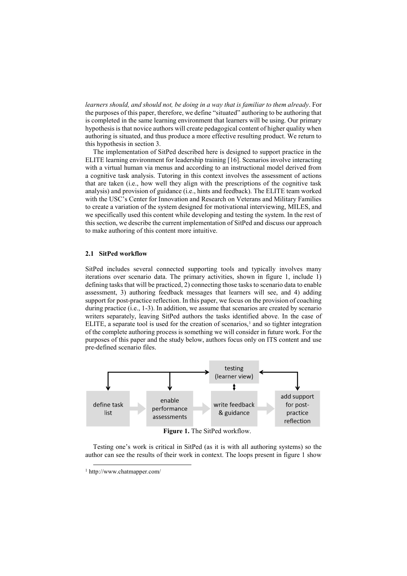*learners should, and should not, be doing in a way that is familiar to them already*. For the purposes of this paper, therefore, we define "situated" authoring to be authoring that is completed in the same learning environment that learners will be using. Our primary hypothesis is that novice authors will create pedagogical content of higher quality when authoring is situated, and thus produce a more effective resulting product. We return to this hypothesis in section 3.

The implementation of SitPed described here is designed to support practice in the ELITE learning environment for leadership training [\[16\]](#page-9-15). Scenarios involve interacting with a virtual human via menus and according to an instructional model derived from a cognitive task analysis. Tutoring in this context involves the assessment of actions that are taken (i.e., how well they align with the prescriptions of the cognitive task analysis) and provision of guidance (i.e., hints and feedback). The ELITE team worked with the USC's Center for Innovation and Research on Veterans and Military Families to create a variation of the system designed for motivational interviewing, MILES, and we specifically used this content while developing and testing the system. In the rest of this section, we describe the current implementation of SitPed and discuss our approach to make authoring of this content more intuitive.

#### **2.1 SitPed workflow**

SitPed includes several connected supporting tools and typically involves many iterations over scenario data. The primary activities, shown in figure 1, include 1) defining tasks that will be practiced, 2) connecting those tasks to scenario data to enable assessment, 3) authoring feedback messages that learners will see, and 4) adding support for post-practice reflection. In this paper, we focus on the provision of coaching during practice (i.e., 1-3). In addition, we assume that scenarios are created by scenario writers separately, leaving SitPed authors the tasks identified above. In the case of ELITE, a separate tool is used for the creation of scenarios, $\frac{1}{1}$  and so tighter integration of the complete authoring process is something we will consider in future work. For the purposes of this paper and the study below, authors focus only on ITS content and use pre-defined scenario files.



**Figure 1.** The SitPed workflow.

Testing one's work is critical in SitPed (as it is with all authoring systems) so the author can see the results of their work in context. The loops present in figure 1 show

1

<sup>1</sup> http://www.chatmapper.com/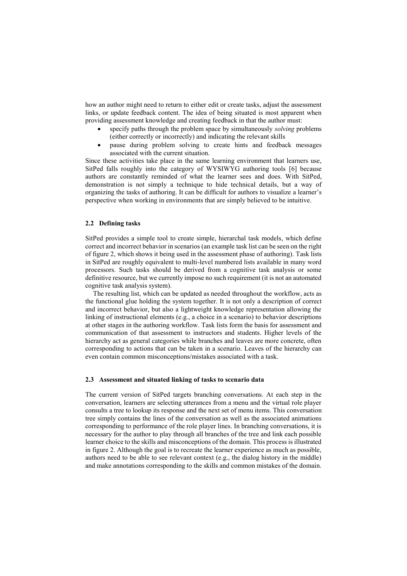how an author might need to return to either edit or create tasks, adjust the assessment links, or update feedback content. The idea of being situated is most apparent when providing assessment knowledge and creating feedback in that the author must:

- specify paths through the problem space by simultaneously *solving* problems (either correctly or incorrectly) and indicating the relevant skills
- pause during problem solving to create hints and feedback messages associated with the current situation.

Since these activities take place in the same learning environment that learners use, SitPed falls roughly into the category of WYSIWYG authoring tools [\[6\]](#page-9-5) because authors are constantly reminded of what the learner sees and does. With SitPed, demonstration is not simply a technique to hide technical details, but a way of organizing the tasks of authoring. It can be difficult for authors to visualize a learner's perspective when working in environments that are simply believed to be intuitive.

## **2.2 Defining tasks**

SitPed provides a simple tool to create simple, hierarchal task models, which define correct and incorrect behavior in scenarios (an example task list can be seen on the right of figure 2, which shows it being used in the assessment phase of authoring). Task lists in SitPed are roughly equivalent to multi-level numbered lists available in many word processors. Such tasks should be derived from a cognitive task analysis or some definitive resource, but we currently impose no such requirement (it is not an automated cognitive task analysis system).

The resulting list, which can be updated as needed throughout the workflow, acts as the functional glue holding the system together. It is not only a description of correct and incorrect behavior, but also a lightweight knowledge representation allowing the linking of instructional elements (e.g., a choice in a scenario) to behavior descriptions at other stages in the authoring workflow. Task lists form the basis for assessment and communication of that assessment to instructors and students. Higher levels of the hierarchy act as general categories while branches and leaves are more concrete, often corresponding to actions that can be taken in a scenario. Leaves of the hierarchy can even contain common misconceptions/mistakes associated with a task.

#### **2.3 Assessment and situated linking of tasks to scenario data**

The current version of SitPed targets branching conversations. At each step in the conversation, learners are selecting utterances from a menu and the virtual role player consults a tree to lookup its response and the next set of menu items. This conversation tree simply contains the lines of the conversation as well as the associated animations corresponding to performance of the role player lines. In branching conversations, it is necessary for the author to play through all branches of the tree and link each possible learner choice to the skills and misconceptions of the domain. This process is illustrated in figure 2. Although the goal is to recreate the learner experience as much as possible, authors need to be able to see relevant context (e.g., the dialog history in the middle) and make annotations corresponding to the skills and common mistakes of the domain.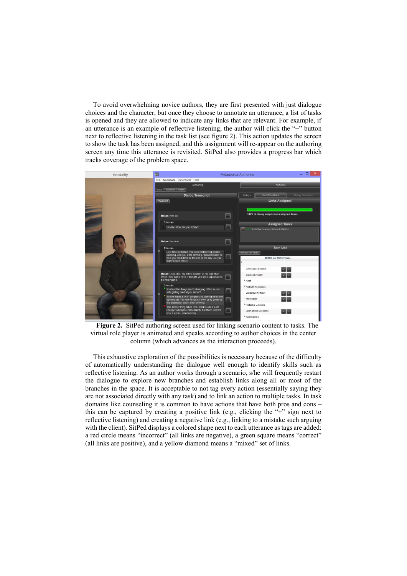To avoid overwhelming novice authors, they are first presented with just dialogue choices and the character, but once they choose to annotate an utterance, a list of tasks is opened and they are allowed to indicate any links that are relevant. For example, if an utterance is an example of reflective listening, the author will click the "+" button next to reflective listening in the task list (see figure 2). This action updates the screen to show the task has been assigned, and this assignment will re-appear on the authoring screen any time this utterance is revisited. SitPed also provides a progress bar which tracks coverage of the problem space.



**Figure 2.** SitPed authoring screen used for linking scenario content to tasks. The virtual role player is animated and speaks according to author choices in the center column (which advances as the interaction proceeds).

This exhaustive exploration of the possibilities is necessary because of the difficulty of automatically understanding the dialogue well enough to identify skills such as reflective listening. As an author works through a scenario, s/he will frequently restart the dialogue to explore new branches and establish links along all or most of the branches in the space. It is acceptable to not tag every action (essentially saying they are not associated directly with any task) and to link an action to multiple tasks. In task domains like counseling it is common to have actions that have both pros and cons – this can be captured by creating a positive link (e.g., clicking the "+" sign next to reflective listening) and creating a negative link (e.g., linking to a mistake such arguing with the client). SitPed displays a colored shape next to each utterance as tags are added: a red circle means "incorrect" (all links are negative), a green square means "correct" (all links are positive), and a yellow diamond means a "mixed" set of links.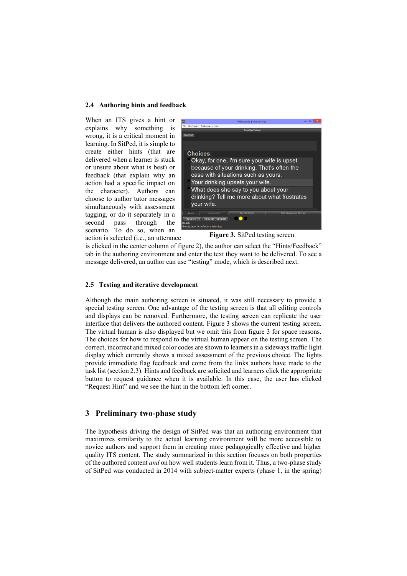#### **2.4 Authoring hints and feedback**

When an ITS gives a hint or explains why something is wrong, it is a critical moment in learning. In SitPed, it is simple to create either hints (that are delivered when a learner is stuck or unsure about what is best) or feedback (that explain why an action had a specific impact on the character). Authors can choose to author tutor messages simultaneously with assessment tagging, or do it separately in a second pass through the scenario. To do so, when an action is selected (i.e., an utterance



**Figure 3.** SitPed testing screen.

is clicked in the center column of figure 2), the author can select the "Hints/Feedback" tab in the authoring environment and enter the text they want to be delivered. To see a message delivered, an author can use "testing" mode, which is described next.

#### **2.5 Testing and iterative development**

Although the main authoring screen is situated, it was still necessary to provide a special testing screen. One advantage of the testing screen is that all editing controls and displays can be removed. Furthermore, the testing screen can replicate the user interface that delivers the authored content. Figure 3 shows the current testing screen. The virtual human is also displayed but we omit this from figure 3 for space reasons. The choices for how to respond to the virtual human appear on the testing screen. The correct, incorrect and mixed color codes are shown to learners in a sideways traffic light display which currently shows a mixed assessment of the previous choice. The lights provide immediate flag feedback and come from the links authors have made to the task list (section 2.3). Hints and feedback are solicited and learners click the appropriate button to request guidance when it is available. In this case, the user has clicked "Request Hint" and we see the hint in the bottom left corner.

## **3 Preliminary two-phase study**

The hypothesis driving the design of SitPed was that an authoring environment that maximizes similarity to the actual learning environment will be more accessible to novice authors and support them in creating more pedagogically effective and higher quality ITS content. The study summarized in this section focuses on both properties of the authored content *and* on how well students learn from it. Thus, a two-phase study of SitPed was conducted in 2014 with subject-matter experts (phase 1, in the spring)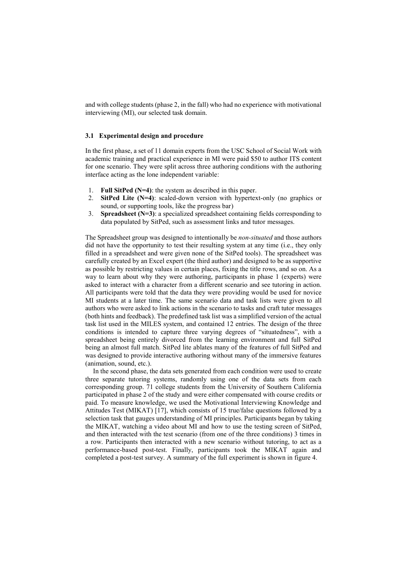and with college students (phase 2, in the fall) who had no experience with motivational interviewing (MI), our selected task domain.

#### **3.1 Experimental design and procedure**

In the first phase, a set of 11 domain experts from the USC School of Social Work with academic training and practical experience in MI were paid \$50 to author ITS content for one scenario. They were split across three authoring conditions with the authoring interface acting as the lone independent variable:

- 1. **Full SitPed (N=4)**: the system as described in this paper.
- 2. **SitPed Lite (N=4)**: scaled-down version with hypertext-only (no graphics or sound, or supporting tools, like the progress bar)
- 3. **Spreadsheet (N=3)**: a specialized spreadsheet containing fields corresponding to data populated by SitPed, such as assessment links and tutor messages.

The Spreadsheet group was designed to intentionally be *non-situated* and those authors did not have the opportunity to test their resulting system at any time (i.e., they only filled in a spreadsheet and were given none of the SitPed tools). The spreadsheet was carefully created by an Excel expert (the third author) and designed to be as supportive as possible by restricting values in certain places, fixing the title rows, and so on. As a way to learn about why they were authoring, participants in phase 1 (experts) were asked to interact with a character from a different scenario and see tutoring in action. All participants were told that the data they were providing would be used for novice MI students at a later time. The same scenario data and task lists were given to all authors who were asked to link actions in the scenario to tasks and craft tutor messages (both hints and feedback). The predefined task list was a simplified version of the actual task list used in the MILES system, and contained 12 entries. The design of the three conditions is intended to capture three varying degrees of "situatedness", with a spreadsheet being entirely divorced from the learning environment and full SitPed being an almost full match. SitPed lite ablates many of the features of full SitPed and was designed to provide interactive authoring without many of the immersive features (animation, sound, etc.).

In the second phase, the data sets generated from each condition were used to create three separate tutoring systems, randomly using one of the data sets from each corresponding group. 71 college students from the University of Southern California participated in phase 2 of the study and were either compensated with course credits or paid. To measure knowledge, we used the Motivational Interviewing Knowledge and Attitudes Test (MIKAT) [\[17\]](#page-9-16), which consists of 15 true/false questions followed by a selection task that gauges understanding of MI principles. Participants began by taking the MIKAT, watching a video about MI and how to use the testing screen of SitPed, and then interacted with the test scenario (from one of the three conditions) 3 times in a row. Participants then interacted with a new scenario without tutoring, to act as a performance-based post-test. Finally, participants took the MIKAT again and completed a post-test survey. A summary of the full experiment is shown in figure 4.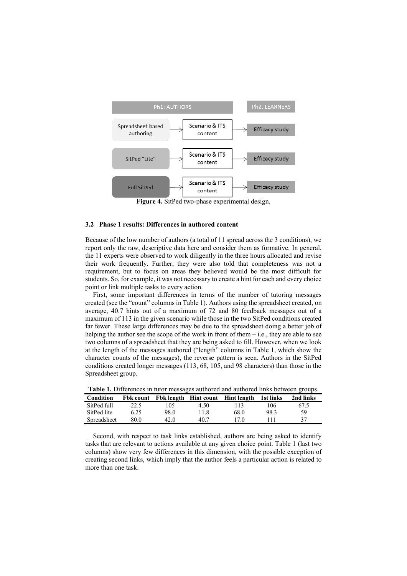

**Figure 4.** SitPed two-phase experimental design.

#### **3.2 Phase 1 results: Differences in authored content**

Because of the low number of authors (a total of 11 spread across the 3 conditions), we report only the raw, descriptive data here and consider them as formative. In general, the 11 experts were observed to work diligently in the three hours allocated and revise their work frequently. Further, they were also told that completeness was not a requirement, but to focus on areas they believed would be the most difficult for students. So, for example, it was not necessary to create a hint for each and every choice point or link multiple tasks to every action.

First, some important differences in terms of the number of tutoring messages created (see the "count" columns in Table 1). Authors using the spreadsheet created, on average, 40.7 hints out of a maximum of 72 and 80 feedback messages out of a maximum of 113 in the given scenario while those in the two SitPed conditions created far fewer. These large differences may be due to the spreadsheet doing a better job of helping the author see the scope of the work in front of them  $-i.e.,$  they are able to see two columns of a spreadsheet that they are being asked to fill. However, when we look at the length of the messages authored ("length" columns in Table 1, which show the character counts of the messages), the reverse pattern is seen. Authors in the SitPed conditions created longer messages (113, 68, 105, and 98 characters) than those in the Spreadsheet group.

| <b>THEIR IS DETECTORED IN THE HOUSE COMMUNICATE HIM HALLOTER INTERFERIOR AT LITTLE</b> |      |      |      |                                                       |      |           |
|----------------------------------------------------------------------------------------|------|------|------|-------------------------------------------------------|------|-----------|
| Condition                                                                              |      |      |      | Fbk count Fbk length Hint count Hint length 1st links |      | 2nd links |
| SitPed full                                                                            | 22.5 | 105  | 4.50 | 113                                                   | 106  | 67.5      |
| SitPed lite                                                                            | 6.25 | 98.0 | 11.8 | 68.0                                                  | 98.3 | 59        |
| Spreadsheet                                                                            | 80.0 | 42.0 | 40.7 | 17 O                                                  |      | 37        |

**Table 1.** Differences in tutor messages authored and authored links between groups.

Second, with respect to task links established, authors are being asked to identify tasks that are relevant to actions available at any given choice point. Table 1 (last two columns) show very few differences in this dimension, with the possible exception of creating second links, which imply that the author feels a particular action is related to more than one task.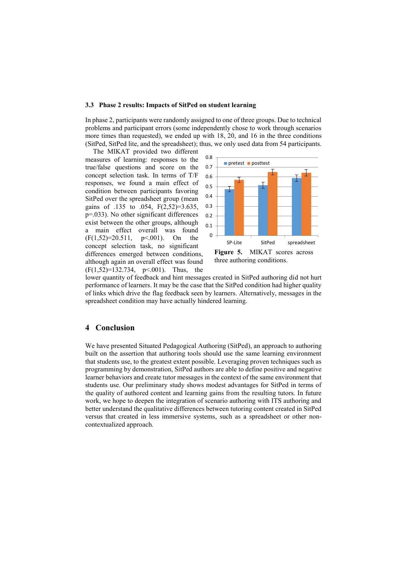#### **3.3 Phase 2 results: Impacts of SitPed on student learning**

In phase 2, participants were randomly assigned to one of three groups. Due to technical problems and participant errors (some independently chose to work through scenarios more times than requested), we ended up with 18, 20, and 16 in the three conditions (SitPed, SitPed lite, and the spreadsheet); thus, we only used data from 54 participants.

The MIKAT provided two different measures of learning: responses to the true/false questions and score on the concept selection task. In terms of T/F responses, we found a main effect of condition between participants favoring SitPed over the spreadsheet group (mean gains of .135 to .054, F(2,52)=3.635, p=.033). No other significant differences exist between the other groups, although a main effect overall was found (F(1,52)=20.511, p<.001). On the concept selection task, no significant differences emerged between conditions, although again an overall effect was found (F(1,52)=132.734, p<.001). Thus, the



three authoring conditions.

lower quantity of feedback and hint messages created in SitPed authoring did not hurt performance of learners. It may be the case that the SitPed condition had higher quality of links which drive the flag feedback seen by learners. Alternatively, messages in the spreadsheet condition may have actually hindered learning.

# **4 Conclusion**

We have presented Situated Pedagogical Authoring (SitPed), an approach to authoring built on the assertion that authoring tools should use the same learning environment that students use, to the greatest extent possible. Leveraging proven techniques such as programming by demonstration, SitPed authors are able to define positive and negative learner behaviors and create tutor messages in the context of the same environment that students use. Our preliminary study shows modest advantages for SitPed in terms of the quality of authored content and learning gains from the resulting tutors. In future work, we hope to deepen the integration of scenario authoring with ITS authoring and better understand the qualitative differences between tutoring content created in SitPed versus that created in less immersive systems, such as a spreadsheet or other noncontextualized approach.